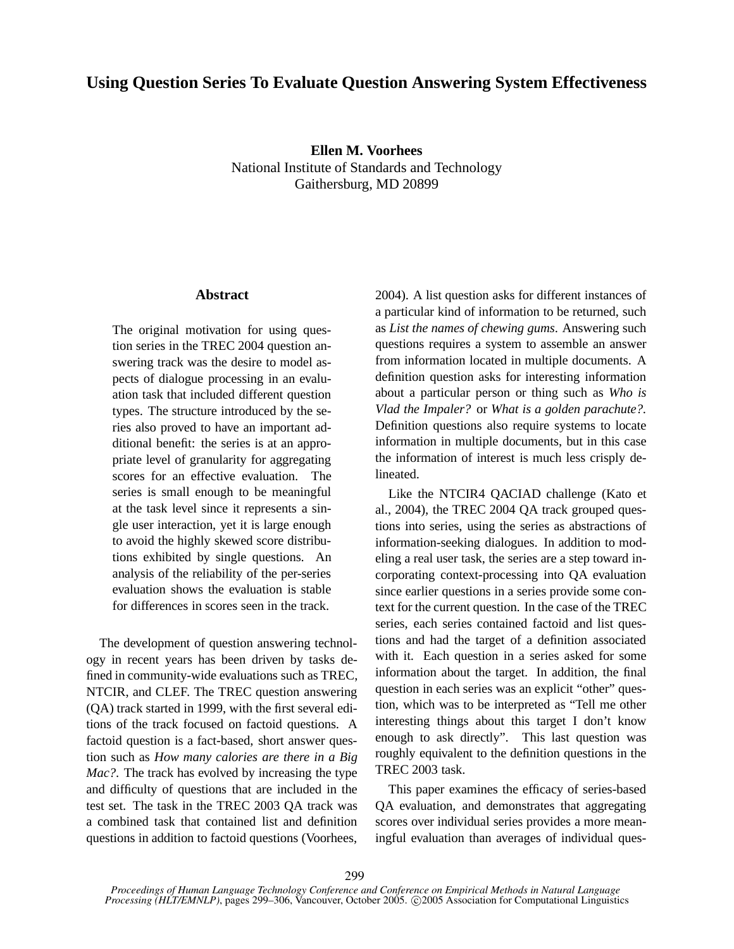# **Using Question Series To Evaluate Question Answering System Effectiveness**

**Ellen M. Voorhees** National Institute of Standards and Technology Gaithersburg, MD 20899

# **Abstract**

The original motivation for using question series in the TREC 2004 question answering track was the desire to model aspects of dialogue processing in an evaluation task that included different question types. The structure introduced by the series also proved to have an important additional benefit: the series is at an appropriate level of granularity for aggregating scores for an effective evaluation. The series is small enough to be meaningful at the task level since it represents a single user interaction, yet it is large enough to avoid the highly skewed score distributions exhibited by single questions. An analysis of the reliability of the per-series evaluation shows the evaluation is stable for differences in scores seen in the track.

The development of question answering technology in recent years has been driven by tasks defined in community-wide evaluations such as TREC, NTCIR, and CLEF. The TREC question answering (QA) track started in 1999, with the first several editions of the track focused on factoid questions. A factoid question is a fact-based, short answer question such as *How many calories are there in a Big Mac?*. The track has evolved by increasing the type and difficulty of questions that are included in the test set. The task in the TREC 2003 QA track was a combined task that contained list and definition questions in addition to factoid questions (Voorhees, 2004). A list question asks for different instances of a particular kind of information to be returned, such as *List the names of chewing gums*. Answering such questions requires a system to assemble an answer from information located in multiple documents. A definition question asks for interesting information about a particular person or thing such as *Who is Vlad the Impaler?* or *What is a golden parachute?*. Definition questions also require systems to locate information in multiple documents, but in this case the information of interest is much less crisply delineated.

Like the NTCIR4 QACIAD challenge (Kato et al., 2004), the TREC 2004 QA track grouped questions into series, using the series as abstractions of information-seeking dialogues. In addition to modeling a real user task, the series are a step toward incorporating context-processing into QA evaluation since earlier questions in a series provide some context for the current question. In the case of the TREC series, each series contained factoid and list questions and had the target of a definition associated with it. Each question in a series asked for some information about the target. In addition, the final question in each series was an explicit "other" question, which was to be interpreted as "Tell me other interesting things about this target I don't know enough to ask directly". This last question was roughly equivalent to the definition questions in the TREC 2003 task.

This paper examines the efficacy of series-based QA evaluation, and demonstrates that aggregating scores over individual series provides a more meaningful evaluation than averages of individual ques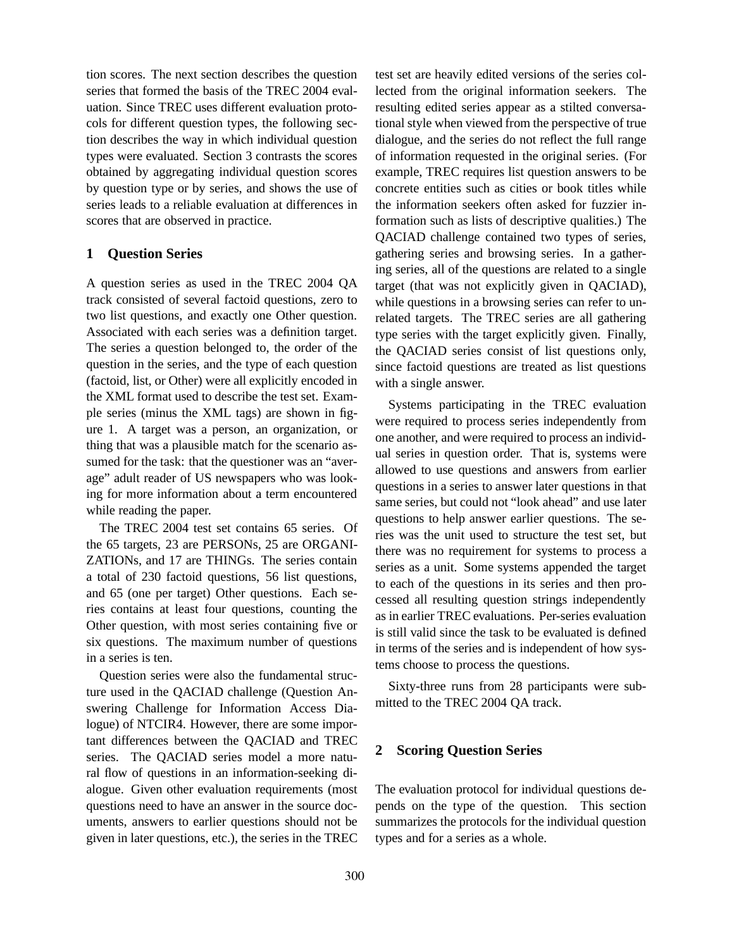tion scores. The next section describes the question series that formed the basis of the TREC 2004 evaluation. Since TREC uses different evaluation protocols for different question types, the following section describes the way in which individual question types were evaluated. Section 3 contrasts the scores obtained by aggregating individual question scores by question type or by series, and shows the use of series leads to a reliable evaluation at differences in scores that are observed in practice.

# **1 Question Series**

A question series as used in the TREC 2004 QA track consisted of several factoid questions, zero to two list questions, and exactly one Other question. Associated with each series was a definition target. The series a question belonged to, the order of the question in the series, and the type of each question (factoid, list, or Other) were all explicitly encoded in the XML format used to describe the test set. Example series (minus the XML tags) are shown in figure 1. A target was a person, an organization, or thing that was a plausible match for the scenario assumed for the task: that the questioner was an "average" adult reader of US newspapers who was looking for more information about a term encountered while reading the paper.

The TREC 2004 test set contains 65 series. Of the 65 targets, 23 are PERSONs, 25 are ORGANI-ZATIONs, and 17 are THINGs. The series contain a total of 230 factoid questions, 56 list questions, and 65 (one per target) Other questions. Each series contains at least four questions, counting the Other question, with most series containing five or six questions. The maximum number of questions in a series is ten.

Question series were also the fundamental structure used in the QACIAD challenge (Question Answering Challenge for Information Access Dialogue) of NTCIR4. However, there are some important differences between the QACIAD and TREC series. The QACIAD series model a more natural flow of questions in an information-seeking dialogue. Given other evaluation requirements (most questions need to have an answer in the source documents, answers to earlier questions should not be given in later questions, etc.), the series in the TREC test set are heavily edited versions of the series collected from the original information seekers. The resulting edited series appear as a stilted conversational style when viewed from the perspective of true dialogue, and the series do not reflect the full range of information requested in the original series. (For example, TREC requires list question answers to be concrete entities such as cities or book titles while the information seekers often asked for fuzzier information such as lists of descriptive qualities.) The QACIAD challenge contained two types of series, gathering series and browsing series. In a gathering series, all of the questions are related to a single target (that was not explicitly given in QACIAD), while questions in a browsing series can refer to unrelated targets. The TREC series are all gathering type series with the target explicitly given. Finally, the QACIAD series consist of list questions only, since factoid questions are treated as list questions with a single answer.

Systems participating in the TREC evaluation were required to process series independently from one another, and were required to process an individual series in question order. That is, systems were allowed to use questions and answers from earlier questions in a series to answer later questions in that same series, but could not "look ahead" and use later questions to help answer earlier questions. The series was the unit used to structure the test set, but there was no requirement for systems to process a series as a unit. Some systems appended the target to each of the questions in its series and then processed all resulting question strings independently as in earlier TREC evaluations. Per-series evaluation is still valid since the task to be evaluated is defined in terms of the series and is independent of how systems choose to process the questions.

Sixty-three runs from 28 participants were submitted to the TREC 2004 QA track.

# **2 Scoring Question Series**

The evaluation protocol for individual questions depends on the type of the question. This section summarizes the protocols for the individual question types and for a series as a whole.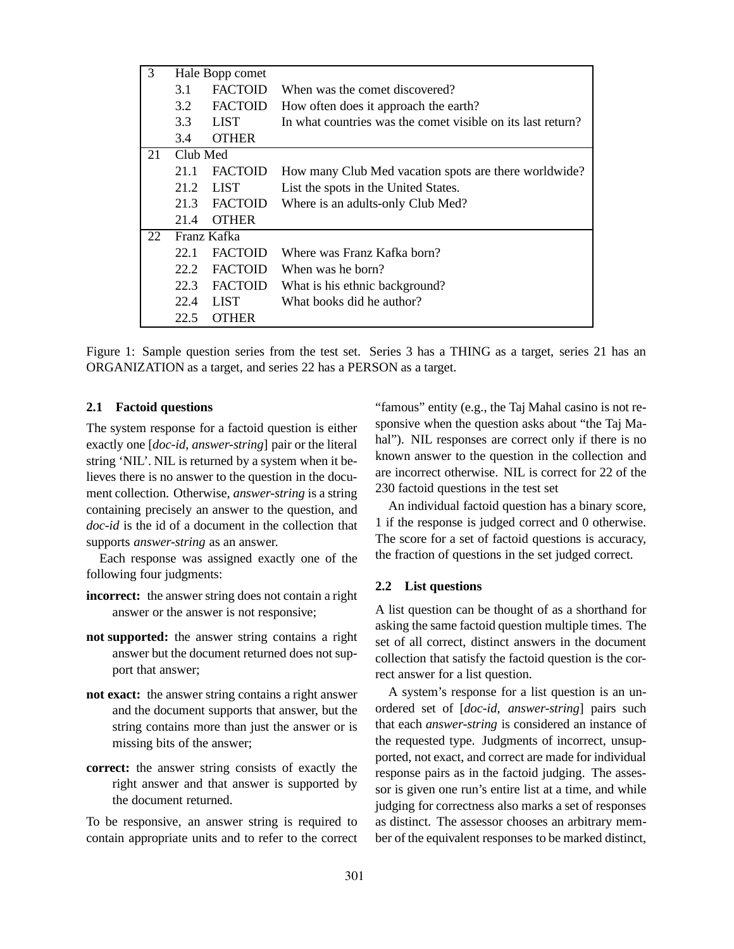| 3  | Hale Bopp comet |                |                                                             |  |
|----|-----------------|----------------|-------------------------------------------------------------|--|
|    | 3.1             | <b>FACTOID</b> | When was the comet discovered?                              |  |
|    | 3.2             | <b>FACTOID</b> | How often does it approach the earth?                       |  |
|    | 3.3             | <b>LIST</b>    | In what countries was the comet visible on its last return? |  |
|    | 3.4             | <b>OTHER</b>   |                                                             |  |
| 21 |                 | Club Med       |                                                             |  |
|    | 21.1            | <b>FACTOID</b> | How many Club Med vacation spots are there worldwide?       |  |
|    | 21.2            | <b>LIST</b>    | List the spots in the United States.                        |  |
|    | 21.3            | <b>FACTOID</b> | Where is an adults-only Club Med?                           |  |
|    | 21.4            | <b>OTHER</b>   |                                                             |  |
| 22 | Franz Kafka     |                |                                                             |  |
|    | 22.1            | <b>FACTOID</b> | Where was Franz Kafka born?                                 |  |
|    | 22.2            | <b>FACTOID</b> | When was he born?                                           |  |
|    | 22.3            | <b>FACTOID</b> | What is his ethnic background?                              |  |
|    | 22.4            | <b>LIST</b>    | What books did he author?                                   |  |
|    | 22.5            | <b>OTHER</b>   |                                                             |  |

Figure 1: Sample question series from the test set. Series 3 has a THING as a target, series 21 has an ORGANIZATION as a target, and series 22 has a PERSON as a target.

#### **2.1 Factoid questions**

The system response for a factoid question is either exactly one [*doc-id*, *answer-string*] pair or the literal string 'NIL'. NIL is returned by a system when it believes there is no answer to the question in the document collection. Otherwise, *answer-string* is a string containing precisely an answer to the question, and *doc-id* is the id of a document in the collection that supports *answer-string* as an answer.

Each response was assigned exactly one of the following four judgments:

- **incorrect:** the answer string does not contain a right answer or the answer is not responsive;
- **not supported:** the answer string contains a right answer but the document returned does not support that answer;
- **not exact:** the answer string contains a right answer and the document supports that answer, but the string contains more than just the answer or is missing bits of the answer;
- **correct:** the answer string consists of exactly the right answer and that answer is supported by the document returned.

To be responsive, an answer string is required to contain appropriate units and to refer to the correct "famous" entity (e.g., the Taj Mahal casino is not responsive when the question asks about "the Taj Mahal"). NIL responses are correct only if there is no known answer to the question in the collection and are incorrect otherwise. NIL is correct for 22 of the 230 factoid questions in the test set

An individual factoid question has a binary score, 1 if the response is judged correct and 0 otherwise. The score for a set of factoid questions is accuracy, the fraction of questions in the set judged correct.

## **2.2 List questions**

A list question can be thought of as a shorthand for asking the same factoid question multiple times. The set of all correct, distinct answers in the document collection that satisfy the factoid question is the correct answer for a list question.

A system's response for a list question is an unordered set of [*doc-id*, *answer-string*] pairs such that each *answer-string* is considered an instance of the requested type. Judgments of incorrect, unsupported, not exact, and correct are made for individual response pairs as in the factoid judging. The assessor is given one run's entire list at a time, and while judging for correctness also marks a set of responses as distinct. The assessor chooses an arbitrary member of the equivalent responses to be marked distinct,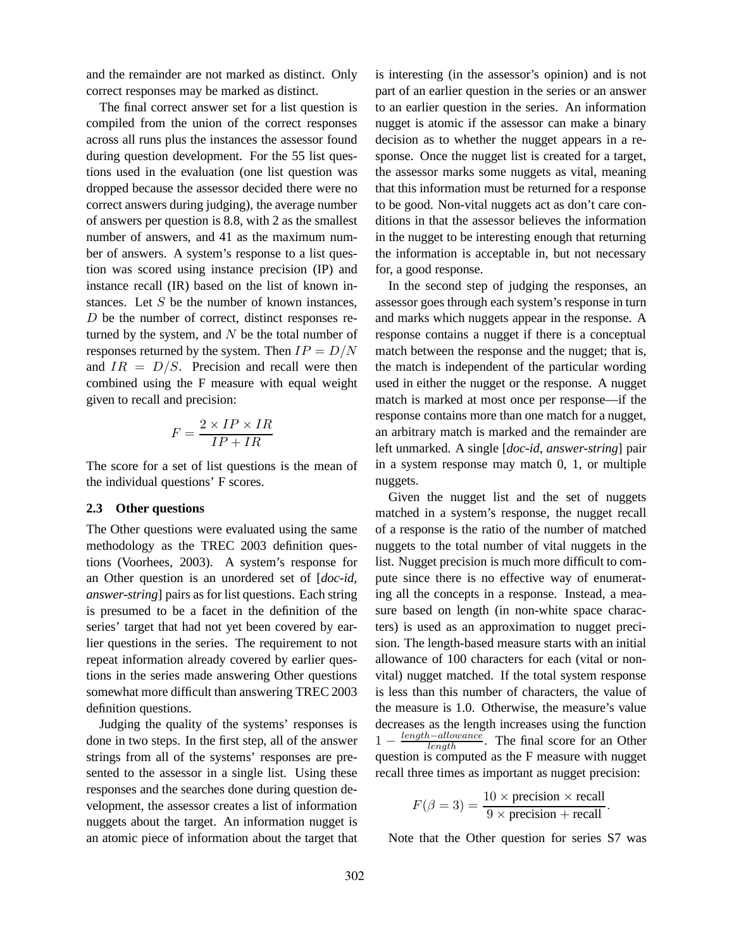and the remainder are not marked as distinct. Only correct responses may be marked as distinct.

The final correct answer set for a list question is compiled from the union of the correct responses across all runs plus the instances the assessor found during question development. For the 55 list questions used in the evaluation (one list question was dropped because the assessor decided there were no correct answers during judging), the average number of answers per question is 8.8, with 2 as the smallest number of answers, and 41 as the maximum number of answers. A system's response to a list question was scored using instance precision (IP) and instance recall (IR) based on the list of known instances. Let  $S$  be the number of known instances,  $D$  be the number of correct, distinct responses returned by the system, and  $N$  be the total number of responses returned by the system. Then  $IP = D/N$ and  $IR = D/S$ . Precision and recall were then combined using the F measure with equal weight given to recall and precision:

$$
F = \frac{2 \times IP \times IR}{IP + IR}
$$

The score for a set of list questions is the mean of the individual questions' F scores.

#### **2.3 Other questions**

The Other questions were evaluated using the same methodology as the TREC 2003 definition questions (Voorhees, 2003). A system's response for an Other question is an unordered set of [*doc-id*, *answer-string*] pairs as for list questions. Each string is presumed to be a facet in the definition of the series' target that had not yet been covered by earlier questions in the series. The requirement to not repeat information already covered by earlier questions in the series made answering Other questions somewhat more difficult than answering TREC 2003 definition questions.

Judging the quality of the systems' responses is done in two steps. In the first step, all of the answer strings from all of the systems' responses are presented to the assessor in a single list. Using these responses and the searches done during question development, the assessor creates a list of information nuggets about the target. An information nugget is an atomic piece of information about the target that is interesting (in the assessor's opinion) and is not part of an earlier question in the series or an answer to an earlier question in the series. An information nugget is atomic if the assessor can make a binary decision as to whether the nugget appears in a response. Once the nugget list is created for a target, the assessor marks some nuggets as vital, meaning that this information must be returned for a response to be good. Non-vital nuggets act as don't care conditions in that the assessor believes the information in the nugget to be interesting enough that returning the information is acceptable in, but not necessary for, a good response.

In the second step of judging the responses, an assessor goes through each system's response in turn and marks which nuggets appear in the response. A response contains a nugget if there is a conceptual match between the response and the nugget; that is, the match is independent of the particular wording used in either the nugget or the response. A nugget match is marked at most once per response—if the response contains more than one match for a nugget, an arbitrary match is marked and the remainder are left unmarked. A single [*doc-id*, *answer-string*] pair in a system response may match 0, 1, or multiple nuggets.

Given the nugget list and the set of nuggets matched in a system's response, the nugget recall of a response is the ratio of the number of matched nuggets to the total number of vital nuggets in the list. Nugget precision is much more difficult to compute since there is no effective way of enumerating all the concepts in a response. Instead, a measure based on length (in non-white space characters) is used as an approximation to nugget precision. The length-based measure starts with an initial allowance of 100 characters for each (vital or nonvital) nugget matched. If the total system response is less than this number of characters, the value of the measure is 1.0. Otherwise, the measure's value decreases as the length increases using the function 1 −  $\frac{length-allowance}{length}$ . The final score for an Other question is computed as the F measure with nugget recall three times as important as nugget precision:

$$
F(\beta = 3) = \frac{10 \times \text{precision} \times \text{recall}}{9 \times \text{precision} + \text{recall}}.
$$

Note that the Other question for series S7 was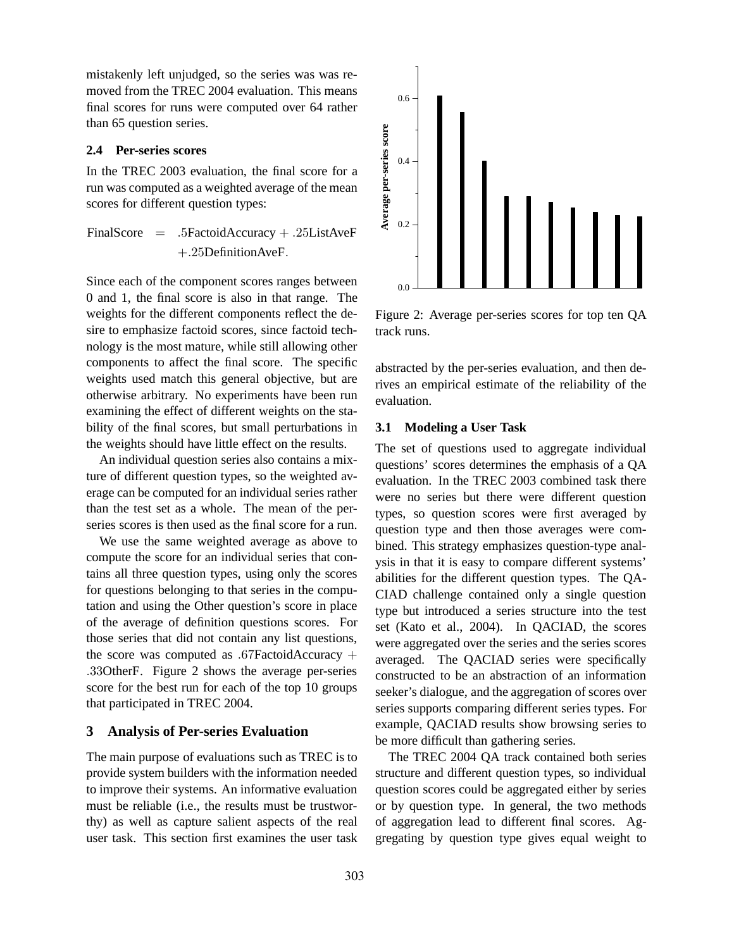mistakenly left unjudged, so the series was was removed from the TREC 2004 evaluation. This means final scores for runs were computed over 64 rather than 65 question series.

## **2.4 Per-series scores**

In the TREC 2003 evaluation, the final score for a run was computed as a weighted average of the mean scores for different question types:

FinalScore = 
$$
.5
$$
FactoridAccuracy +  $.25$ ListAveF +  $.25$ DefinitionAveF.

Since each of the component scores ranges between 0 and 1, the final score is also in that range. The weights for the different components reflect the desire to emphasize factoid scores, since factoid technology is the most mature, while still allowing other components to affect the final score. The specific weights used match this general objective, but are otherwise arbitrary. No experiments have been run examining the effect of different weights on the stability of the final scores, but small perturbations in the weights should have little effect on the results.

An individual question series also contains a mixture of different question types, so the weighted average can be computed for an individual series rather than the test set as a whole. The mean of the perseries scores is then used as the final score for a run.

We use the same weighted average as above to compute the score for an individual series that contains all three question types, using only the scores for questions belonging to that series in the computation and using the Other question's score in place of the average of definition questions scores. For those series that did not contain any list questions, the score was computed as .67FactoidAccuracy + .33OtherF. Figure 2 shows the average per-series score for the best run for each of the top 10 groups that participated in TREC 2004.

# **3 Analysis of Per-series Evaluation**

The main purpose of evaluations such as TREC is to provide system builders with the information needed to improve their systems. An informative evaluation must be reliable (i.e., the results must be trustworthy) as well as capture salient aspects of the real user task. This section first examines the user task



Figure 2: Average per-series scores for top ten QA track runs.

abstracted by the per-series evaluation, and then derives an empirical estimate of the reliability of the evaluation.

# **3.1 Modeling a User Task**

The set of questions used to aggregate individual questions' scores determines the emphasis of a QA evaluation. In the TREC 2003 combined task there were no series but there were different question types, so question scores were first averaged by question type and then those averages were combined. This strategy emphasizes question-type analysis in that it is easy to compare different systems' abilities for the different question types. The QA-CIAD challenge contained only a single question type but introduced a series structure into the test set (Kato et al., 2004). In QACIAD, the scores were aggregated over the series and the series scores averaged. The QACIAD series were specifically constructed to be an abstraction of an information seeker's dialogue, and the aggregation of scores over series supports comparing different series types. For example, QACIAD results show browsing series to be more difficult than gathering series.

The TREC 2004 QA track contained both series structure and different question types, so individual question scores could be aggregated either by series or by question type. In general, the two methods of aggregation lead to different final scores. Aggregating by question type gives equal weight to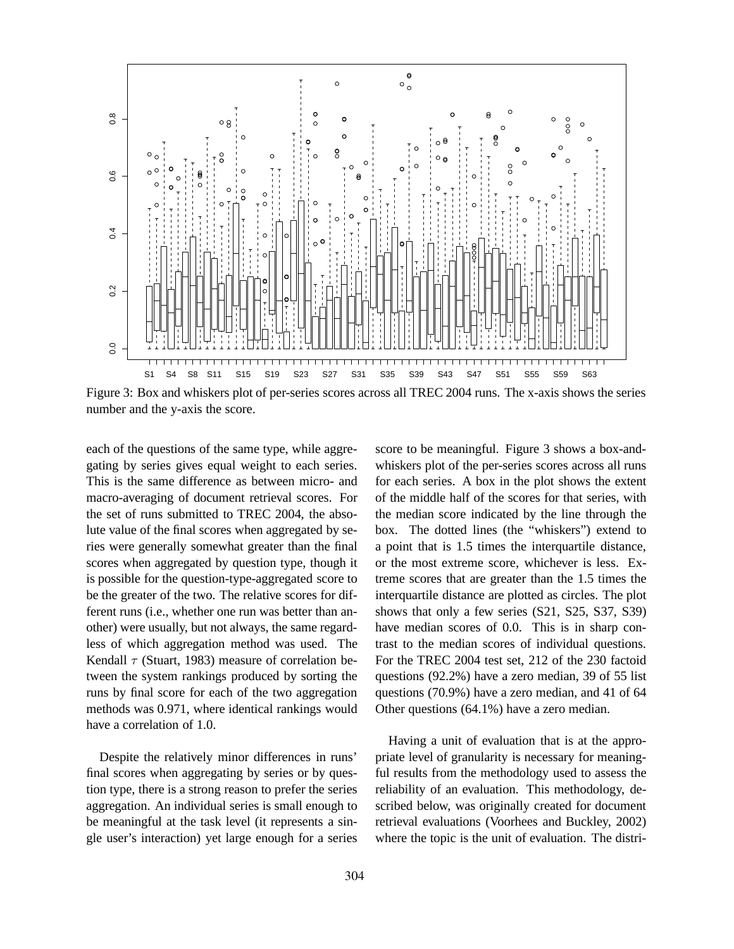

Figure 3: Box and whiskers plot of per-series scores across all TREC 2004 runs. The x-axis shows the series number and the y-axis the score.

each of the questions of the same type, while aggregating by series gives equal weight to each series. This is the same difference as between micro- and macro-averaging of document retrieval scores. For the set of runs submitted to TREC 2004, the absolute value of the final scores when aggregated by series were generally somewhat greater than the final scores when aggregated by question type, though it is possible for the question-type-aggregated score to be the greater of the two. The relative scores for different runs (i.e., whether one run was better than another) were usually, but not always, the same regardless of which aggregation method was used. The Kendall  $\tau$  (Stuart, 1983) measure of correlation between the system rankings produced by sorting the runs by final score for each of the two aggregation methods was 0.971, where identical rankings would have a correlation of 1.0.

Despite the relatively minor differences in runs' final scores when aggregating by series or by question type, there is a strong reason to prefer the series aggregation. An individual series is small enough to be meaningful at the task level (it represents a single user's interaction) yet large enough for a series score to be meaningful. Figure 3 shows a box-andwhiskers plot of the per-series scores across all runs for each series. A box in the plot shows the extent of the middle half of the scores for that series, with the median score indicated by the line through the box. The dotted lines (the "whiskers") extend to a point that is 1.5 times the interquartile distance, or the most extreme score, whichever is less. Extreme scores that are greater than the 1.5 times the interquartile distance are plotted as circles. The plot shows that only a few series (S21, S25, S37, S39) have median scores of 0.0. This is in sharp contrast to the median scores of individual questions. For the TREC 2004 test set, 212 of the 230 factoid questions (92.2%) have a zero median, 39 of 55 list questions (70.9%) have a zero median, and 41 of 64 Other questions (64.1%) have a zero median.

Having a unit of evaluation that is at the appropriate level of granularity is necessary for meaningful results from the methodology used to assess the reliability of an evaluation. This methodology, described below, was originally created for document retrieval evaluations (Voorhees and Buckley, 2002) where the topic is the unit of evaluation. The distri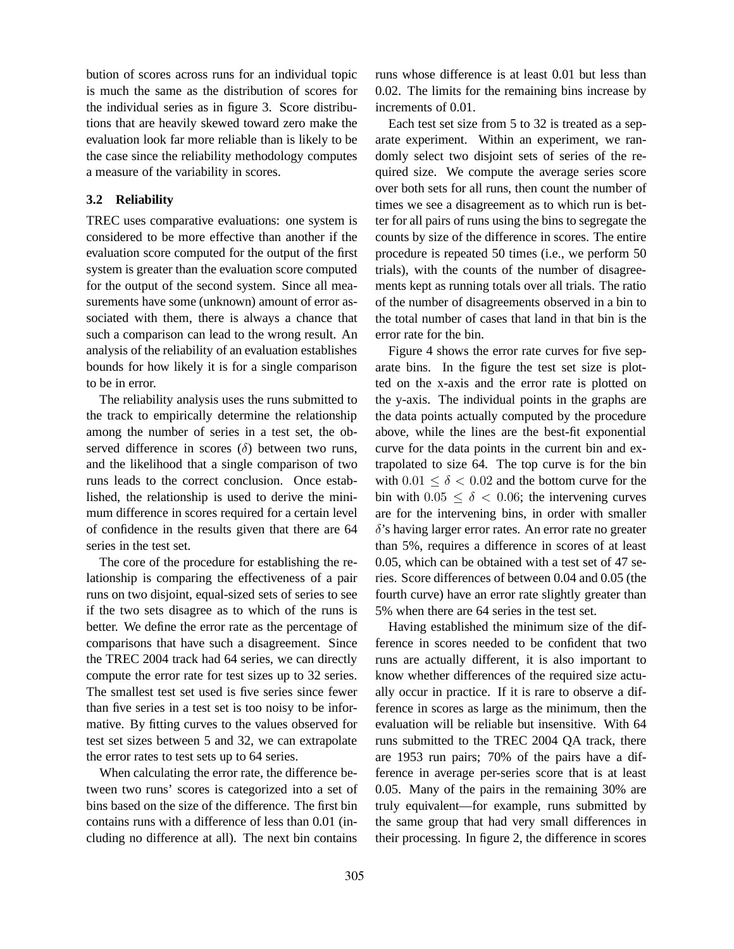bution of scores across runs for an individual topic is much the same as the distribution of scores for the individual series as in figure 3. Score distributions that are heavily skewed toward zero make the evaluation look far more reliable than is likely to be the case since the reliability methodology computes a measure of the variability in scores.

# **3.2 Reliability**

TREC uses comparative evaluations: one system is considered to be more effective than another if the evaluation score computed for the output of the first system is greater than the evaluation score computed for the output of the second system. Since all measurements have some (unknown) amount of error associated with them, there is always a chance that such a comparison can lead to the wrong result. An analysis of the reliability of an evaluation establishes bounds for how likely it is for a single comparison to be in error.

The reliability analysis uses the runs submitted to the track to empirically determine the relationship among the number of series in a test set, the observed difference in scores  $(\delta)$  between two runs, and the likelihood that a single comparison of two runs leads to the correct conclusion. Once established, the relationship is used to derive the minimum difference in scores required for a certain level of confidence in the results given that there are 64 series in the test set.

The core of the procedure for establishing the relationship is comparing the effectiveness of a pair runs on two disjoint, equal-sized sets of series to see if the two sets disagree as to which of the runs is better. We define the error rate as the percentage of comparisons that have such a disagreement. Since the TREC 2004 track had 64 series, we can directly compute the error rate for test sizes up to 32 series. The smallest test set used is five series since fewer than five series in a test set is too noisy to be informative. By fitting curves to the values observed for test set sizes between 5 and 32, we can extrapolate the error rates to test sets up to 64 series.

When calculating the error rate, the difference between two runs' scores is categorized into a set of bins based on the size of the difference. The first bin contains runs with a difference of less than 0.01 (including no difference at all). The next bin contains

runs whose difference is at least 0.01 but less than 0.02. The limits for the remaining bins increase by increments of 0.01.

Each test set size from 5 to 32 is treated as a separate experiment. Within an experiment, we randomly select two disjoint sets of series of the required size. We compute the average series score over both sets for all runs, then count the number of times we see a disagreement as to which run is better for all pairs of runs using the bins to segregate the counts by size of the difference in scores. The entire procedure is repeated 50 times (i.e., we perform 50 trials), with the counts of the number of disagreements kept as running totals over all trials. The ratio of the number of disagreements observed in a bin to the total number of cases that land in that bin is the error rate for the bin.

Figure 4 shows the error rate curves for five separate bins. In the figure the test set size is plotted on the x-axis and the error rate is plotted on the y-axis. The individual points in the graphs are the data points actually computed by the procedure above, while the lines are the best-fit exponential curve for the data points in the current bin and extrapolated to size 64. The top curve is for the bin with  $0.01 \le \delta < 0.02$  and the bottom curve for the bin with  $0.05 \le \delta < 0.06$ ; the intervening curves are for the intervening bins, in order with smaller δ's having larger error rates. An error rate no greater than 5%, requires a difference in scores of at least 0.05, which can be obtained with a test set of 47 series. Score differences of between 0.04 and 0.05 (the fourth curve) have an error rate slightly greater than 5% when there are 64 series in the test set.

Having established the minimum size of the difference in scores needed to be confident that two runs are actually different, it is also important to know whether differences of the required size actually occur in practice. If it is rare to observe a difference in scores as large as the minimum, then the evaluation will be reliable but insensitive. With 64 runs submitted to the TREC 2004 QA track, there are 1953 run pairs; 70% of the pairs have a difference in average per-series score that is at least 0.05. Many of the pairs in the remaining 30% are truly equivalent—for example, runs submitted by the same group that had very small differences in their processing. In figure 2, the difference in scores